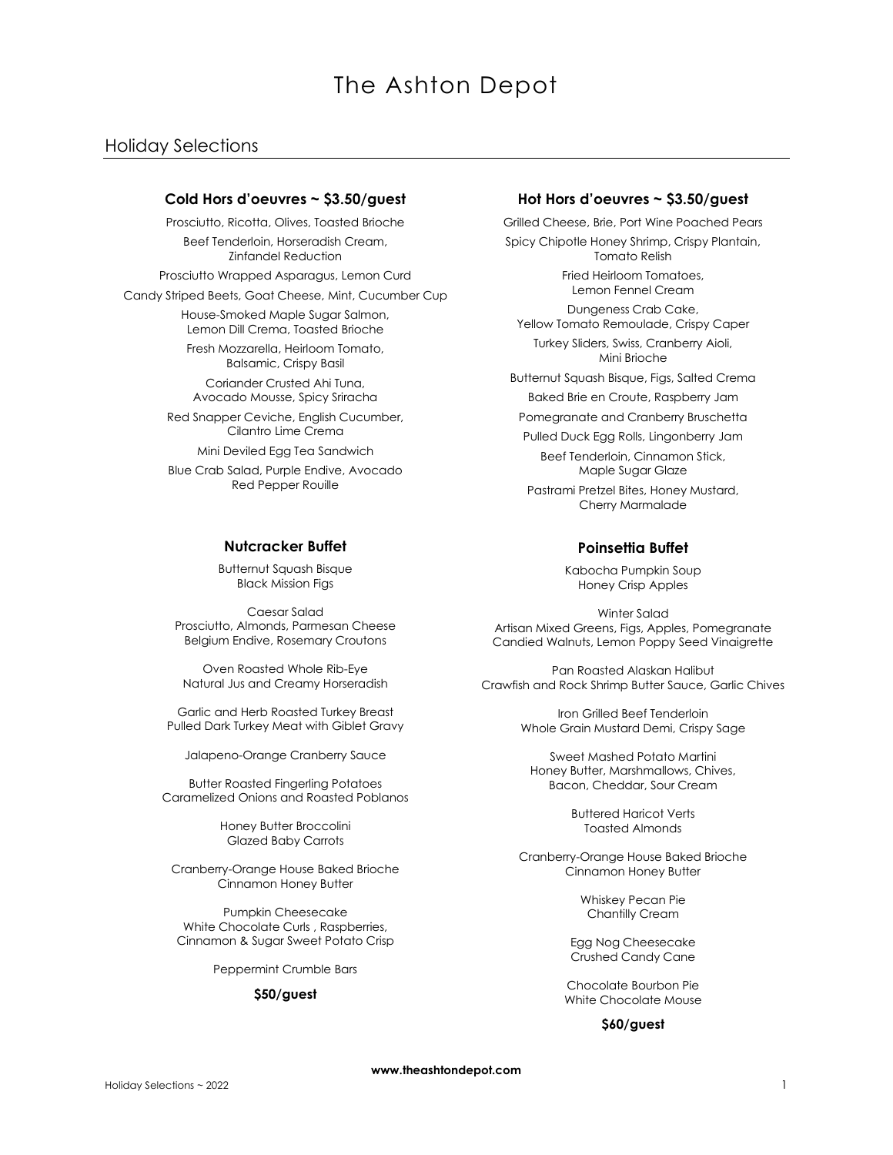# The Ashton Depot

# Holiday Selections

### **Cold Hors d'oeuvres ~ \$3.50/guest**

Prosciutto, Ricotta, Olives, Toasted Brioche Beef Tenderloin, Horseradish Cream, Zinfandel Reduction

Prosciutto Wrapped Asparagus, Lemon Curd

Candy Striped Beets, Goat Cheese, Mint, Cucumber Cup

House-Smoked Maple Sugar Salmon, Lemon Dill Crema, Toasted Brioche

Fresh Mozzarella, Heirloom Tomato, Balsamic, Crispy Basil

Coriander Crusted Ahi Tuna, Avocado Mousse, Spicy Sriracha

Red Snapper Ceviche, English Cucumber, Cilantro Lime Crema

Mini Deviled Egg Tea Sandwich

Blue Crab Salad, Purple Endive, Avocado Red Pepper Rouille

## **Nutcracker Buffet**

Butternut Squash Bisque Black Mission Figs

Caesar Salad Prosciutto, Almonds, Parmesan Cheese Belgium Endive, Rosemary Croutons

Oven Roasted Whole Rib-Eye Natural Jus and Creamy Horseradish

Garlic and Herb Roasted Turkey Breast Pulled Dark Turkey Meat with Giblet Gravy

Jalapeno-Orange Cranberry Sauce

Butter Roasted Fingerling Potatoes Caramelized Onions and Roasted Poblanos

> Honey Butter Broccolini Glazed Baby Carrots

Cranberry-Orange House Baked Brioche Cinnamon Honey Butter

Pumpkin Cheesecake White Chocolate Curls , Raspberries, Cinnamon & Sugar Sweet Potato Crisp

Peppermint Crumble Bars

#### **\$50/guest**

#### **Hot Hors d'oeuvres ~ \$3.50/guest**

Grilled Cheese, Brie, Port Wine Poached Pears Spicy Chipotle Honey Shrimp, Crispy Plantain, Tomato Relish

> Fried Heirloom Tomatoes, Lemon Fennel Cream

Dungeness Crab Cake, Yellow Tomato Remoulade, Crispy Caper

Turkey Sliders, Swiss, Cranberry Aioli, Mini Brioche

Butternut Squash Bisque, Figs, Salted Crema Baked Brie en Croute, Raspberry Jam

Pomegranate and Cranberry Bruschetta

Pulled Duck Egg Rolls, Lingonberry Jam

Beef Tenderloin, Cinnamon Stick, Maple Sugar Glaze

Pastrami Pretzel Bites, Honey Mustard, Cherry Marmalade

### **Poinsettia Buffet**

Kabocha Pumpkin Soup Honey Crisp Apples

Winter Salad Artisan Mixed Greens, Figs, Apples, Pomegranate Candied Walnuts, Lemon Poppy Seed Vinaigrette

Pan Roasted Alaskan Halibut Crawfish and Rock Shrimp Butter Sauce, Garlic Chives

> Iron Grilled Beef Tenderloin Whole Grain Mustard Demi, Crispy Sage

Sweet Mashed Potato Martini Honey Butter, Marshmallows, Chives, Bacon, Cheddar, Sour Cream

> Buttered Haricot Verts Toasted Almonds

Cranberry-Orange House Baked Brioche Cinnamon Honey Butter

> Whiskey Pecan Pie Chantilly Cream

Egg Nog Cheesecake Crushed Candy Cane

Chocolate Bourbon Pie White Chocolate Mouse

**\$60/guest**